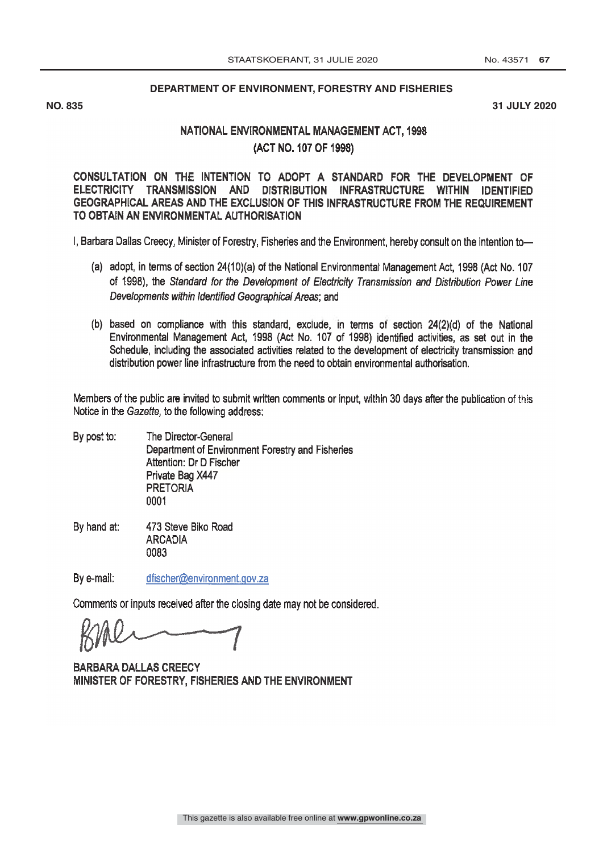## **DEPARTMENT OF ENVIRONMENT, FORESTRY AND FISHERIES**

**NO. 835 31 JULY 2020**

## NATIONAL ENVIRONMENTAL MANAGEMENT ACT, 1998 (ACT NO. 107 OF 1998)

CONSULTATION ON INTENTION TO ADOPT A STANDARD FOR THE DEVELOPMENT OF ELECTRICITY TRANSMISSION AND DISTRIBUTION INFRASTRUCTURE WITHIN IDENTIFIED GEOGRAPHICAL AREAS AND THE EXCLUSION OF THIS INFRASTRUCTURE FROM THE REQUIREMENT TO OBTAIN AN ENVIRONMENTAL AUTHORISATION

I, Barbara Dallas Creecy, Minister of Forestry, Fisheries and the Environment, hereby consult on the intention to-

- (a) adopt, in terms of section 24(10)(a) of the National Environmental Management Act, 1998 (Act No. 107 of 1998), the Standard for the Development of Electricity Transmission and Distribution Power Line Developments within Identified Geographical Areas; and
- (b) based on compliance with this standard, exclude, in terms of section 24(2)(d) of the National Environmental Management Act, 1998 (Act No. 107 of 1998) identified activities, as set out in the Schedule, including the associated activities related to the development of electricity transmission and distribution power line infrastructure from the need to obtain environmental authorisation.

Members of the public are invited to submit written comments or input, within 30 days after the publication of this Notice in the Gazette, to the following address:

- By post to: The Director -General Department of Environment Forestry and Fisheries Attention: Dr D Fischer Private Bag X447 PRETORIA 0001
- By hand at: 473 Steve Biko Road **ARCADIA** 0083

By e-mail: dfischer@environment.gov.za

Comments or inputs received after the closing date may not be considered.

**BARBARA DALLAS CREECY** MINISTER OF FORESTRY, FISHERIES AND THE ENVIRONMENT